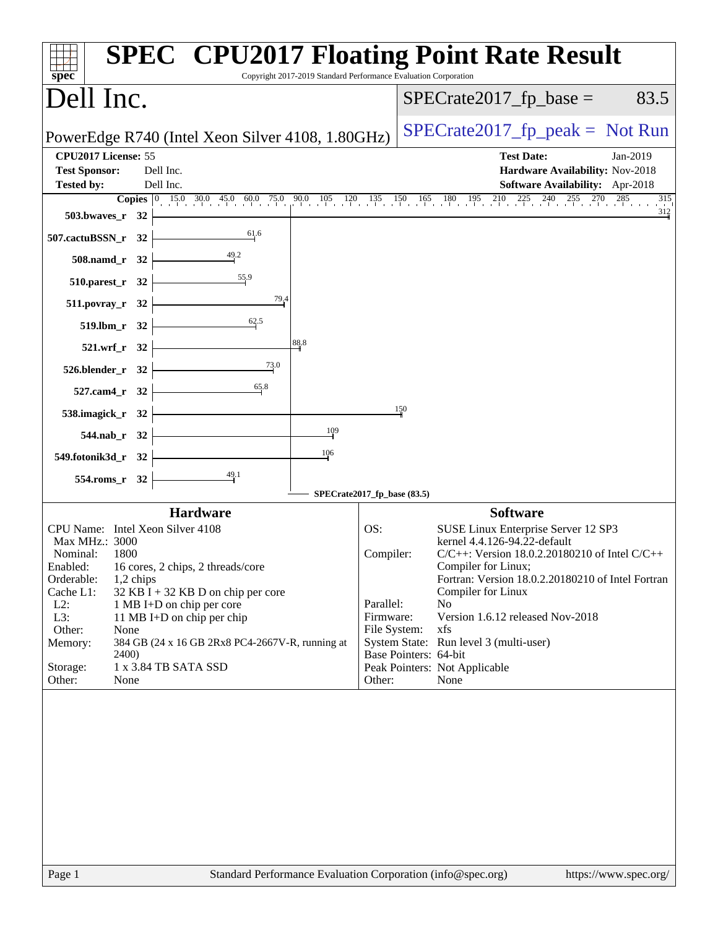| $spec^*$                                                                                                                                                                                                                                                                                                                                                                                                                          | Copyright 2017-2019 Standard Performance Evaluation Corporation      | <b>SPEC<sup>®</sup> CPU2017 Floating Point Rate Result</b>                                                                                                                                                                                                                                                                                                                                      |
|-----------------------------------------------------------------------------------------------------------------------------------------------------------------------------------------------------------------------------------------------------------------------------------------------------------------------------------------------------------------------------------------------------------------------------------|----------------------------------------------------------------------|-------------------------------------------------------------------------------------------------------------------------------------------------------------------------------------------------------------------------------------------------------------------------------------------------------------------------------------------------------------------------------------------------|
| Dell Inc.                                                                                                                                                                                                                                                                                                                                                                                                                         |                                                                      | $SPECrate2017_fp\_base =$<br>83.5                                                                                                                                                                                                                                                                                                                                                               |
| PowerEdge R740 (Intel Xeon Silver 4108, 1.80GHz)                                                                                                                                                                                                                                                                                                                                                                                  |                                                                      | $SPECrate2017_fp\_peak = Not Run$                                                                                                                                                                                                                                                                                                                                                               |
| CPU2017 License: 55<br><b>Test Sponsor:</b><br>Dell Inc.<br>Dell Inc.<br><b>Tested by:</b>                                                                                                                                                                                                                                                                                                                                        |                                                                      | <b>Test Date:</b><br>Jan-2019<br>Hardware Availability: Nov-2018<br>Software Availability: Apr-2018                                                                                                                                                                                                                                                                                             |
| 503.bwaves_r 32                                                                                                                                                                                                                                                                                                                                                                                                                   |                                                                      | <b>Copies</b> $\begin{bmatrix} 0 & 15 & 030 & 45 & 060 & 75 & 90 & 105 & 120 & 135 & 150 & 165 & 180 & 195 & 210 & 225 & 240 & 255 & 270 & 285 & 35 \end{bmatrix}$<br>315<br>312                                                                                                                                                                                                                |
| 61.6<br>507.cactuBSSN_r 32                                                                                                                                                                                                                                                                                                                                                                                                        |                                                                      |                                                                                                                                                                                                                                                                                                                                                                                                 |
| 508.namd_r 32                                                                                                                                                                                                                                                                                                                                                                                                                     |                                                                      |                                                                                                                                                                                                                                                                                                                                                                                                 |
| $\frac{55.9}{9}$<br>510.parest_r 32<br>79,4<br>511.povray_r 32                                                                                                                                                                                                                                                                                                                                                                    |                                                                      |                                                                                                                                                                                                                                                                                                                                                                                                 |
| 62.5<br>519.lbm_r 32                                                                                                                                                                                                                                                                                                                                                                                                              |                                                                      |                                                                                                                                                                                                                                                                                                                                                                                                 |
| 521.wrf_r 32                                                                                                                                                                                                                                                                                                                                                                                                                      | 88.8                                                                 |                                                                                                                                                                                                                                                                                                                                                                                                 |
| 73.0<br>526.blender_r 32                                                                                                                                                                                                                                                                                                                                                                                                          |                                                                      |                                                                                                                                                                                                                                                                                                                                                                                                 |
| 65.8<br>527.cam4_r 32<br>538.imagick_r 32                                                                                                                                                                                                                                                                                                                                                                                         |                                                                      | 150                                                                                                                                                                                                                                                                                                                                                                                             |
| 544.nab_r 32                                                                                                                                                                                                                                                                                                                                                                                                                      | $\frac{109}{1}$                                                      |                                                                                                                                                                                                                                                                                                                                                                                                 |
| 549.fotonik3d_r 32                                                                                                                                                                                                                                                                                                                                                                                                                | 106                                                                  |                                                                                                                                                                                                                                                                                                                                                                                                 |
| 554.roms_r 32                                                                                                                                                                                                                                                                                                                                                                                                                     | SPECrate2017_fp_base (83.5)                                          |                                                                                                                                                                                                                                                                                                                                                                                                 |
| <b>Hardware</b>                                                                                                                                                                                                                                                                                                                                                                                                                   |                                                                      | <b>Software</b>                                                                                                                                                                                                                                                                                                                                                                                 |
| CPU Name: Intel Xeon Silver 4108<br>Max MHz.: 3000<br>Nominal:<br>1800<br>Enabled: 16 cores, 2 chips, 2 threads/core<br>Orderable:<br>$1,2$ chips<br>Cache L1:<br>$32$ KB I + 32 KB D on chip per core<br>$L2$ :<br>1 MB I+D on chip per core<br>L3:<br>11 MB I+D on chip per chip<br>Other:<br>None<br>384 GB (24 x 16 GB 2Rx8 PC4-2667V-R, running at<br>Memory:<br>2400)<br>1 x 3.84 TB SATA SSD<br>Storage:<br>Other:<br>None | OS:<br>Compiler:<br>Parallel:<br>Firmware:<br>File System:<br>Other: | SUSE Linux Enterprise Server 12 SP3<br>kernel 4.4.126-94.22-default<br>C/C++: Version 18.0.2.20180210 of Intel C/C++<br>Compiler for Linux;<br>Fortran: Version 18.0.2.20180210 of Intel Fortran<br>Compiler for Linux<br>N <sub>o</sub><br>Version 1.6.12 released Nov-2018<br>xfs<br>System State: Run level 3 (multi-user)<br>Base Pointers: 64-bit<br>Peak Pointers: Not Applicable<br>None |
| Page 1                                                                                                                                                                                                                                                                                                                                                                                                                            |                                                                      | Standard Performance Evaluation Corporation (info@spec.org)<br>https://www.spec.org/                                                                                                                                                                                                                                                                                                            |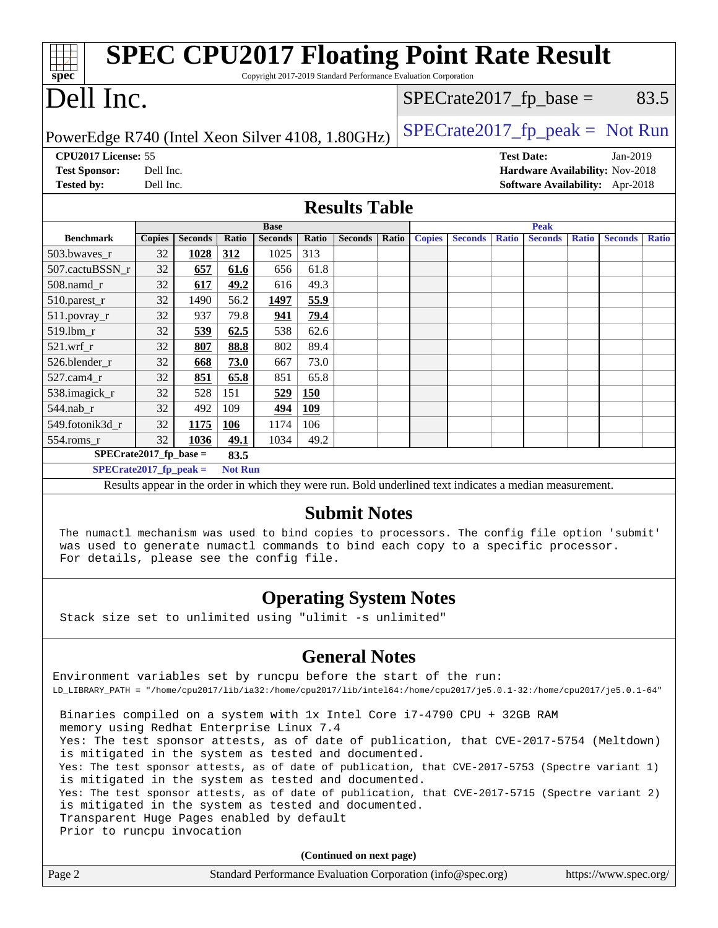| Spec                                                                                         |               |                |                |                |            | <b>SPEC CPU2017 Floating Point Rate Result</b><br>Copyright 2017-2019 Standard Performance Evaluation Corporation |       |               |                |              |                           |              |                                   |              |
|----------------------------------------------------------------------------------------------|---------------|----------------|----------------|----------------|------------|-------------------------------------------------------------------------------------------------------------------|-------|---------------|----------------|--------------|---------------------------|--------------|-----------------------------------|--------------|
| Dell Inc.                                                                                    |               |                |                |                |            |                                                                                                                   |       |               |                |              | $SPECrate2017_fp\_base =$ |              |                                   | 83.5         |
| PowerEdge R740 (Intel Xeon Silver 4108, 1.80GHz)                                             |               |                |                |                |            |                                                                                                                   |       |               |                |              |                           |              | $SPECrate2017_fp\_peak = Not Run$ |              |
| CPU2017 License: 55                                                                          |               |                |                |                |            |                                                                                                                   |       |               |                |              | <b>Test Date:</b>         |              | $Jan-2019$                        |              |
| <b>Test Sponsor:</b>                                                                         | Dell Inc.     |                |                |                |            |                                                                                                                   |       |               |                |              |                           |              | Hardware Availability: Nov-2018   |              |
| <b>Tested by:</b>                                                                            | Dell Inc.     |                |                |                |            |                                                                                                                   |       |               |                |              |                           |              | Software Availability: Apr-2018   |              |
|                                                                                              |               |                |                |                |            | <b>Results Table</b>                                                                                              |       |               |                |              |                           |              |                                   |              |
|                                                                                              |               |                |                | <b>Base</b>    |            |                                                                                                                   |       |               |                |              | <b>Peak</b>               |              |                                   |              |
| <b>Benchmark</b>                                                                             | <b>Copies</b> | <b>Seconds</b> | Ratio          | <b>Seconds</b> | Ratio      | <b>Seconds</b>                                                                                                    | Ratio | <b>Copies</b> | <b>Seconds</b> | <b>Ratio</b> | <b>Seconds</b>            | <b>Ratio</b> | <b>Seconds</b>                    | <b>Ratio</b> |
| 503.bwaves_r                                                                                 | 32            | 1028           | 312            | 1025           | 313        |                                                                                                                   |       |               |                |              |                           |              |                                   |              |
| 507.cactuBSSN r                                                                              | 32            | 657            | 61.6           | 656            | 61.8       |                                                                                                                   |       |               |                |              |                           |              |                                   |              |
| 508.namd_r                                                                                   | 32            | 617            | 49.2           | 616            | 49.3       |                                                                                                                   |       |               |                |              |                           |              |                                   |              |
| 510.parest_r                                                                                 | 32            | 1490           | 56.2           | 1497           | 55.9       |                                                                                                                   |       |               |                |              |                           |              |                                   |              |
| $511.$ povray_r                                                                              | 32            | 937            | 79.8           | 941            | 79.4       |                                                                                                                   |       |               |                |              |                           |              |                                   |              |
| 519.lbm r                                                                                    | 32            | 539            | 62.5           | 538            | 62.6       |                                                                                                                   |       |               |                |              |                           |              |                                   |              |
| $521.wrf_r$                                                                                  | 32            | 807            | 88.8           | 802            | 89.4       |                                                                                                                   |       |               |                |              |                           |              |                                   |              |
| 526.blender_r                                                                                | 32            | 668            | 73.0           | 667            | 73.0       |                                                                                                                   |       |               |                |              |                           |              |                                   |              |
| 527.cam4 r                                                                                   | 32            | 851            | 65.8           | 851            | 65.8       |                                                                                                                   |       |               |                |              |                           |              |                                   |              |
| 538.imagick_r                                                                                | 32            | 528            | 151            | 529            | <b>150</b> |                                                                                                                   |       |               |                |              |                           |              |                                   |              |
| 544.nab r                                                                                    | 32            | 492            | 109            | 494            | 109        |                                                                                                                   |       |               |                |              |                           |              |                                   |              |
| 549.fotonik3d_r                                                                              | 32            | 1175           | 106            | 1174           | 106        |                                                                                                                   |       |               |                |              |                           |              |                                   |              |
| 554.roms r                                                                                   | 32            | 1036           | 49.1           | 1034           | 49.2       |                                                                                                                   |       |               |                |              |                           |              |                                   |              |
| $SPECrate2017_fp\_base =$                                                                    |               |                | 83.5           |                |            |                                                                                                                   |       |               |                |              |                           |              |                                   |              |
| $SPECrate2017_fp\_peak =$                                                                    |               |                | <b>Not Run</b> |                |            |                                                                                                                   |       |               |                |              |                           |              |                                   |              |
|                                                                                              |               |                |                |                |            | Results appear in the order in which they were run. Bold underlined text indicates a median measurement.          |       |               |                |              |                           |              |                                   |              |
|                                                                                              |               |                |                |                |            | <b>Submit Notes</b>                                                                                               |       |               |                |              |                           |              |                                   |              |
| The numactl mechanism was used to bind copies to processors. The config file option 'submit' |               |                |                |                |            |                                                                                                                   |       |               |                |              |                           |              |                                   |              |
| was used to generate numactl commands to bind each copy to a specific processor.             |               |                |                |                |            |                                                                                                                   |       |               |                |              |                           |              |                                   |              |
| For details, please see the config file.                                                     |               |                |                |                |            |                                                                                                                   |       |               |                |              |                           |              |                                   |              |
|                                                                                              |               |                |                |                |            |                                                                                                                   |       |               |                |              |                           |              |                                   |              |

#### **[Operating System Notes](http://www.spec.org/auto/cpu2017/Docs/result-fields.html#OperatingSystemNotes)**

Stack size set to unlimited using "ulimit -s unlimited"

### **[General Notes](http://www.spec.org/auto/cpu2017/Docs/result-fields.html#GeneralNotes)**

Environment variables set by runcpu before the start of the run: LD\_LIBRARY\_PATH = "/home/cpu2017/lib/ia32:/home/cpu2017/lib/intel64:/home/cpu2017/je5.0.1-32:/home/cpu2017/je5.0.1-64" Binaries compiled on a system with 1x Intel Core i7-4790 CPU + 32GB RAM memory using Redhat Enterprise Linux 7.4 Yes: The test sponsor attests, as of date of publication, that CVE-2017-5754 (Meltdown) is mitigated in the system as tested and documented. Yes: The test sponsor attests, as of date of publication, that CVE-2017-5753 (Spectre variant 1) is mitigated in the system as tested and documented. Yes: The test sponsor attests, as of date of publication, that CVE-2017-5715 (Spectre variant 2) is mitigated in the system as tested and documented. Transparent Huge Pages enabled by default Prior to runcpu invocation

**(Continued on next page)**

| Page 2 | Standard Performance Evaluation Corporation (info@spec.org) | https://www.spec.org/ |
|--------|-------------------------------------------------------------|-----------------------|
|--------|-------------------------------------------------------------|-----------------------|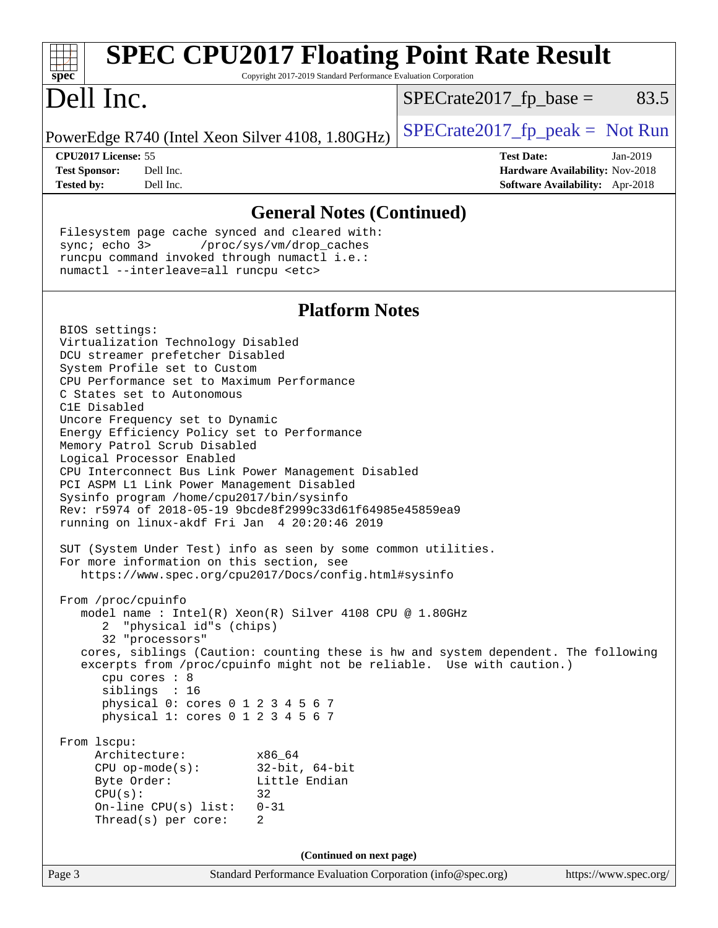| spec <sup>®</sup>                                                                                                                                                                                                                                                                                                                                                                                                                                                                                                                                                                                                                                                                                                                                                                                                                                                                                                                                                                                                                                                                                                                                                                                                                                                                                                                                            | Copyright 2017-2019 Standard Performance Evaluation Corporation        | <b>SPEC CPU2017 Floating Point Rate Result</b> |                                                                                         |
|--------------------------------------------------------------------------------------------------------------------------------------------------------------------------------------------------------------------------------------------------------------------------------------------------------------------------------------------------------------------------------------------------------------------------------------------------------------------------------------------------------------------------------------------------------------------------------------------------------------------------------------------------------------------------------------------------------------------------------------------------------------------------------------------------------------------------------------------------------------------------------------------------------------------------------------------------------------------------------------------------------------------------------------------------------------------------------------------------------------------------------------------------------------------------------------------------------------------------------------------------------------------------------------------------------------------------------------------------------------|------------------------------------------------------------------------|------------------------------------------------|-----------------------------------------------------------------------------------------|
| Dell Inc.                                                                                                                                                                                                                                                                                                                                                                                                                                                                                                                                                                                                                                                                                                                                                                                                                                                                                                                                                                                                                                                                                                                                                                                                                                                                                                                                                    |                                                                        | $SPECrate2017_fp\_base =$                      | 83.5                                                                                    |
| PowerEdge R740 (Intel Xeon Silver 4108, 1.80GHz)                                                                                                                                                                                                                                                                                                                                                                                                                                                                                                                                                                                                                                                                                                                                                                                                                                                                                                                                                                                                                                                                                                                                                                                                                                                                                                             |                                                                        | $SPECrate2017fr peak = Not Run$                |                                                                                         |
| CPU2017 License: 55<br><b>Test Sponsor:</b><br>Dell Inc.<br>Dell Inc.<br><b>Tested by:</b>                                                                                                                                                                                                                                                                                                                                                                                                                                                                                                                                                                                                                                                                                                                                                                                                                                                                                                                                                                                                                                                                                                                                                                                                                                                                   |                                                                        | <b>Test Date:</b>                              | $Jan-2019$<br>Hardware Availability: Nov-2018<br><b>Software Availability:</b> Apr-2018 |
|                                                                                                                                                                                                                                                                                                                                                                                                                                                                                                                                                                                                                                                                                                                                                                                                                                                                                                                                                                                                                                                                                                                                                                                                                                                                                                                                                              | <b>General Notes (Continued)</b>                                       |                                                |                                                                                         |
| Filesystem page cache synced and cleared with:<br>sync; echo 3><br>runcpu command invoked through numactl i.e.:<br>numactl --interleave=all runcpu <etc></etc>                                                                                                                                                                                                                                                                                                                                                                                                                                                                                                                                                                                                                                                                                                                                                                                                                                                                                                                                                                                                                                                                                                                                                                                               | /proc/sys/vm/drop_caches                                               |                                                |                                                                                         |
|                                                                                                                                                                                                                                                                                                                                                                                                                                                                                                                                                                                                                                                                                                                                                                                                                                                                                                                                                                                                                                                                                                                                                                                                                                                                                                                                                              | <b>Platform Notes</b>                                                  |                                                |                                                                                         |
| BIOS settings:<br>Virtualization Technology Disabled<br>DCU streamer prefetcher Disabled<br>System Profile set to Custom<br>CPU Performance set to Maximum Performance<br>C States set to Autonomous<br>C1E Disabled<br>Uncore Frequency set to Dynamic<br>Energy Efficiency Policy set to Performance<br>Memory Patrol Scrub Disabled<br>Logical Processor Enabled<br>CPU Interconnect Bus Link Power Management Disabled<br>PCI ASPM L1 Link Power Management Disabled<br>Sysinfo program /home/cpu2017/bin/sysinfo<br>Rev: r5974 of 2018-05-19 9bcde8f2999c33d61f64985e45859ea9<br>running on linux-akdf Fri Jan 4 20:20:46 2019<br>SUT (System Under Test) info as seen by some common utilities.<br>For more information on this section, see<br>https://www.spec.org/cpu2017/Docs/config.html#sysinfo<br>From /proc/cpuinfo<br>model name: $Intel(R)$ Xeon(R) Silver 4108 CPU @ 1.80GHz<br>"physical id"s (chips)<br>2<br>32 "processors"<br>cores, siblings (Caution: counting these is hw and system dependent. The following<br>excerpts from /proc/cpuinfo might not be reliable. Use with caution.)<br>cpu cores : 8<br>siblings : 16<br>physical 0: cores 0 1 2 3 4 5 6 7<br>physical 1: cores 0 1 2 3 4 5 6 7<br>From 1scpu:<br>Architecture:<br>$CPU$ op-mode( $s$ ):<br>Byte Order:<br>CPU(s):<br>On-line CPU(s) list:<br>Thread(s) per core: | x86_64<br>$32$ -bit, $64$ -bit<br>Little Endian<br>32<br>$0 - 31$<br>2 |                                                |                                                                                         |
|                                                                                                                                                                                                                                                                                                                                                                                                                                                                                                                                                                                                                                                                                                                                                                                                                                                                                                                                                                                                                                                                                                                                                                                                                                                                                                                                                              | (Continued on next page)                                               |                                                |                                                                                         |
| Page 3                                                                                                                                                                                                                                                                                                                                                                                                                                                                                                                                                                                                                                                                                                                                                                                                                                                                                                                                                                                                                                                                                                                                                                                                                                                                                                                                                       | Standard Performance Evaluation Corporation (info@spec.org)            |                                                | https://www.spec.org/                                                                   |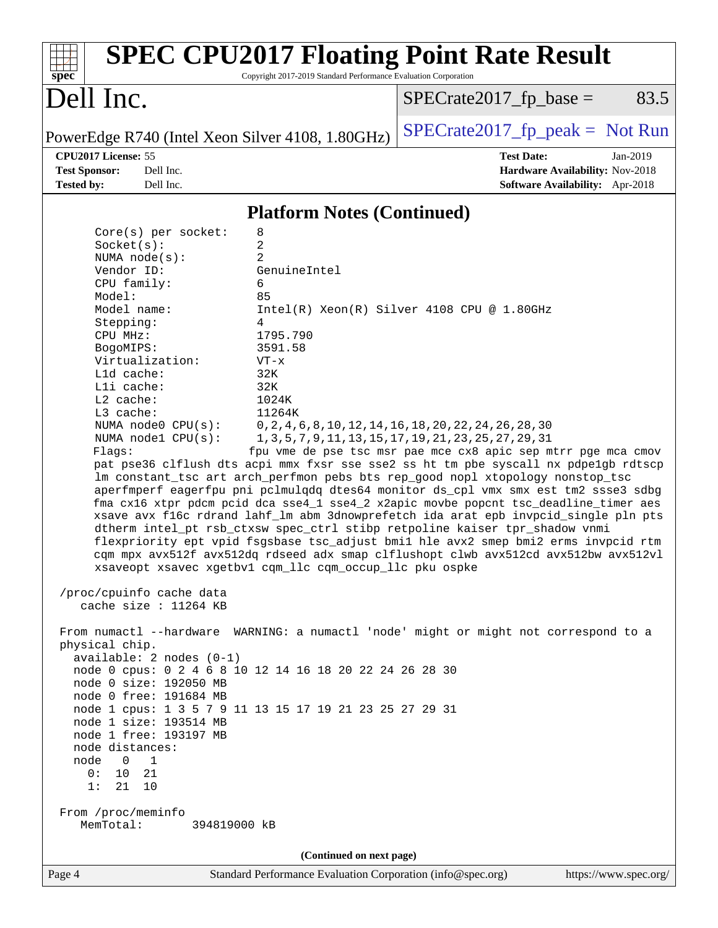| <b>SPEC CPU2017 Floating Point Rate Result</b><br>Copyright 2017-2019 Standard Performance Evaluation Corporation<br>$spec^*$                                                                                                                                                                                                                                                                                                                                                                                                                                                                                                                                                                                                                                                                                                                                                                                                                                                                                                                                                                                                                                                                                                                                                                                                                                                                                                                                                                                                                                                                                                                                                                                                                                                                          |                                                                                                                                                                                                                                         |
|--------------------------------------------------------------------------------------------------------------------------------------------------------------------------------------------------------------------------------------------------------------------------------------------------------------------------------------------------------------------------------------------------------------------------------------------------------------------------------------------------------------------------------------------------------------------------------------------------------------------------------------------------------------------------------------------------------------------------------------------------------------------------------------------------------------------------------------------------------------------------------------------------------------------------------------------------------------------------------------------------------------------------------------------------------------------------------------------------------------------------------------------------------------------------------------------------------------------------------------------------------------------------------------------------------------------------------------------------------------------------------------------------------------------------------------------------------------------------------------------------------------------------------------------------------------------------------------------------------------------------------------------------------------------------------------------------------------------------------------------------------------------------------------------------------|-----------------------------------------------------------------------------------------------------------------------------------------------------------------------------------------------------------------------------------------|
| Dell Inc.                                                                                                                                                                                                                                                                                                                                                                                                                                                                                                                                                                                                                                                                                                                                                                                                                                                                                                                                                                                                                                                                                                                                                                                                                                                                                                                                                                                                                                                                                                                                                                                                                                                                                                                                                                                              | $SPECrate2017fr base =$<br>83.5                                                                                                                                                                                                         |
| PowerEdge R740 (Intel Xeon Silver 4108, 1.80GHz)                                                                                                                                                                                                                                                                                                                                                                                                                                                                                                                                                                                                                                                                                                                                                                                                                                                                                                                                                                                                                                                                                                                                                                                                                                                                                                                                                                                                                                                                                                                                                                                                                                                                                                                                                       | $SPECrate2017_fp\_peak = Not Run$                                                                                                                                                                                                       |
| CPU2017 License: 55<br><b>Test Sponsor:</b><br>Dell Inc.                                                                                                                                                                                                                                                                                                                                                                                                                                                                                                                                                                                                                                                                                                                                                                                                                                                                                                                                                                                                                                                                                                                                                                                                                                                                                                                                                                                                                                                                                                                                                                                                                                                                                                                                               | <b>Test Date:</b><br>Jan-2019<br>Hardware Availability: Nov-2018                                                                                                                                                                        |
| <b>Tested by:</b><br>Dell Inc.                                                                                                                                                                                                                                                                                                                                                                                                                                                                                                                                                                                                                                                                                                                                                                                                                                                                                                                                                                                                                                                                                                                                                                                                                                                                                                                                                                                                                                                                                                                                                                                                                                                                                                                                                                         | <b>Software Availability:</b> Apr-2018                                                                                                                                                                                                  |
| <b>Platform Notes (Continued)</b>                                                                                                                                                                                                                                                                                                                                                                                                                                                                                                                                                                                                                                                                                                                                                                                                                                                                                                                                                                                                                                                                                                                                                                                                                                                                                                                                                                                                                                                                                                                                                                                                                                                                                                                                                                      |                                                                                                                                                                                                                                         |
| $Core(s)$ per socket:<br>8<br>2<br>Socket(s):<br>$\overline{a}$<br>NUMA $node(s):$<br>Vendor ID:<br>GenuineIntel<br>6<br>CPU family:<br>Model:<br>85<br>Model name:<br>Stepping:<br>4<br>CPU MHz:<br>1795.790<br>3591.58<br>BogoMIPS:<br>Virtualization:<br>$VT - x$<br>L1d cache:<br>32K<br>Lli cache:<br>32K<br>L2 cache:<br>1024K<br>L3 cache:<br>11264K<br>NUMA $node0$ $CPU(s)$ :<br>NUMA $node1$ CPU $(s)$ :<br>Flagg:<br>pat pse36 clflush dts acpi mmx fxsr sse sse2 ss ht tm pbe syscall nx pdpelgb rdtscp<br>lm constant_tsc art arch_perfmon pebs bts rep_good nopl xtopology nonstop_tsc<br>aperfmperf eagerfpu pni pclmulqdq dtes64 monitor ds_cpl vmx smx est tm2 ssse3 sdbg<br>fma cx16 xtpr pdcm pcid dca sse4_1 sse4_2 x2apic movbe popcnt tsc_deadline_timer aes<br>xsave avx f16c rdrand lahf_lm abm 3dnowprefetch ida arat epb invpcid_single pln pts<br>dtherm intel_pt rsb_ctxsw spec_ctrl stibp retpoline kaiser tpr_shadow vnmi<br>flexpriority ept vpid fsgsbase tsc_adjust bmil hle avx2 smep bmi2 erms invpcid rtm<br>cqm mpx avx512f avx512dq rdseed adx smap clflushopt clwb avx512cd avx512bw avx512vl<br>xsaveopt xsavec xgetbv1 cqm_llc cqm_occup_llc pku ospke<br>/proc/cpuinfo cache data<br>cache size : 11264 KB<br>From numactl --hardware WARNING: a numactl 'node' might or might not correspond to a<br>physical chip.<br>$available: 2 nodes (0-1)$<br>node 0 cpus: 0 2 4 6 8 10 12 14 16 18 20 22 24 26 28 30<br>node 0 size: 192050 MB<br>node 0 free: 191684 MB<br>node 1 cpus: 1 3 5 7 9 11 13 15 17 19 21 23 25 27 29 31<br>node 1 size: 193514 MB<br>node 1 free: 193197 MB<br>node distances:<br>$\overline{0}$<br>$\overline{1}$<br>node<br>0:<br>10 21<br>1:<br>21 10<br>From /proc/meminfo<br>MemTotal:<br>394819000 kB<br>(Continued on next page) | $Intel(R) Xeon(R) Silver 4108 CPU @ 1.80GHz$<br>0, 2, 4, 6, 8, 10, 12, 14, 16, 18, 20, 22, 24, 26, 28, 30<br>1, 3, 5, 7, 9, 11, 13, 15, 17, 19, 21, 23, 25, 27, 29, 31<br>fpu vme de pse tsc msr pae mce cx8 apic sep mtrr pge mca cmov |
| Standard Performance Evaluation Corporation (info@spec.org)<br>Page 4                                                                                                                                                                                                                                                                                                                                                                                                                                                                                                                                                                                                                                                                                                                                                                                                                                                                                                                                                                                                                                                                                                                                                                                                                                                                                                                                                                                                                                                                                                                                                                                                                                                                                                                                  | https://www.spec.org/                                                                                                                                                                                                                   |
|                                                                                                                                                                                                                                                                                                                                                                                                                                                                                                                                                                                                                                                                                                                                                                                                                                                                                                                                                                                                                                                                                                                                                                                                                                                                                                                                                                                                                                                                                                                                                                                                                                                                                                                                                                                                        |                                                                                                                                                                                                                                         |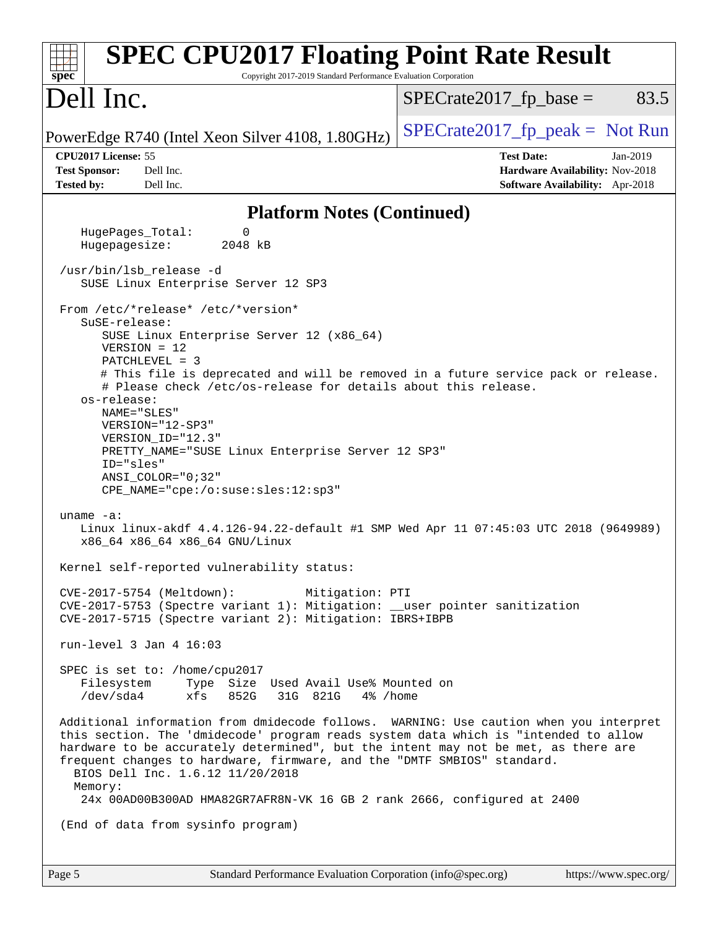| <b>SPEC CPU2017 Floating Point Rate Result</b><br>Copyright 2017-2019 Standard Performance Evaluation Corporation<br>$sp\overline{ec}$                                                                                                                                                                                                                                                                                                                                                                                                                                                                                                      |                                                                                                            |
|---------------------------------------------------------------------------------------------------------------------------------------------------------------------------------------------------------------------------------------------------------------------------------------------------------------------------------------------------------------------------------------------------------------------------------------------------------------------------------------------------------------------------------------------------------------------------------------------------------------------------------------------|------------------------------------------------------------------------------------------------------------|
| Dell Inc.                                                                                                                                                                                                                                                                                                                                                                                                                                                                                                                                                                                                                                   | 83.5<br>$SPECrate2017fr base =$                                                                            |
| PowerEdge R740 (Intel Xeon Silver 4108, 1.80GHz)                                                                                                                                                                                                                                                                                                                                                                                                                                                                                                                                                                                            | $SPECrate2017_fp\_peak = Not Run$                                                                          |
| CPU2017 License: 55<br>Dell Inc.<br><b>Test Sponsor:</b><br>Dell Inc.<br><b>Tested by:</b>                                                                                                                                                                                                                                                                                                                                                                                                                                                                                                                                                  | <b>Test Date:</b><br>Jan-2019<br>Hardware Availability: Nov-2018<br><b>Software Availability:</b> Apr-2018 |
| <b>Platform Notes (Continued)</b>                                                                                                                                                                                                                                                                                                                                                                                                                                                                                                                                                                                                           |                                                                                                            |
| HugePages_Total:<br>0<br>Hugepagesize:<br>2048 kB                                                                                                                                                                                                                                                                                                                                                                                                                                                                                                                                                                                           |                                                                                                            |
| /usr/bin/lsb_release -d<br>SUSE Linux Enterprise Server 12 SP3                                                                                                                                                                                                                                                                                                                                                                                                                                                                                                                                                                              |                                                                                                            |
| From /etc/*release* /etc/*version*<br>SuSE-release:<br>SUSE Linux Enterprise Server 12 (x86_64)<br>$VERSION = 12$<br>$PATCHLEVEL = 3$<br># This file is deprecated and will be removed in a future service pack or release.<br># Please check /etc/os-release for details about this release.<br>os-release:<br>NAME="SLES"<br>VERSION="12-SP3"<br>VERSION_ID="12.3"<br>PRETTY_NAME="SUSE Linux Enterprise Server 12 SP3"<br>ID="sles"<br>ANSI COLOR="0;32"<br>CPE_NAME="cpe:/o:suse:sles:12:sp3"<br>uname $-a$ :<br>Linux linux-akdf 4.4.126-94.22-default #1 SMP Wed Apr 11 07:45:03 UTC 2018 (9649989)<br>x86_64 x86_64 x86_64 GNU/Linux |                                                                                                            |
| Kernel self-reported vulnerability status:<br>CVE-2017-5754 (Meltdown):<br>Mitigation: PTI<br>CVE-2017-5753 (Spectre variant 1): Mitigation: __user pointer sanitization<br>CVE-2017-5715 (Spectre variant 2): Mitigation: IBRS+IBPB                                                                                                                                                                                                                                                                                                                                                                                                        |                                                                                                            |
| run-level $3$ Jan $4$ 16:03                                                                                                                                                                                                                                                                                                                                                                                                                                                                                                                                                                                                                 |                                                                                                            |
| SPEC is set to: /home/cpu2017<br>Filesystem Type Size Used Avail Use% Mounted on<br>/dev/sda4<br>xfs<br>852G<br>31G 821G<br>4% /home                                                                                                                                                                                                                                                                                                                                                                                                                                                                                                        |                                                                                                            |
| Additional information from dmidecode follows. WARNING: Use caution when you interpret<br>this section. The 'dmidecode' program reads system data which is "intended to allow<br>hardware to be accurately determined", but the intent may not be met, as there are<br>frequent changes to hardware, firmware, and the "DMTF SMBIOS" standard.<br>BIOS Dell Inc. 1.6.12 11/20/2018<br>Memory:<br>24x 00AD00B300AD HMA82GR7AFR8N-VK 16 GB 2 rank 2666, configured at 2400                                                                                                                                                                    |                                                                                                            |
| (End of data from sysinfo program)                                                                                                                                                                                                                                                                                                                                                                                                                                                                                                                                                                                                          |                                                                                                            |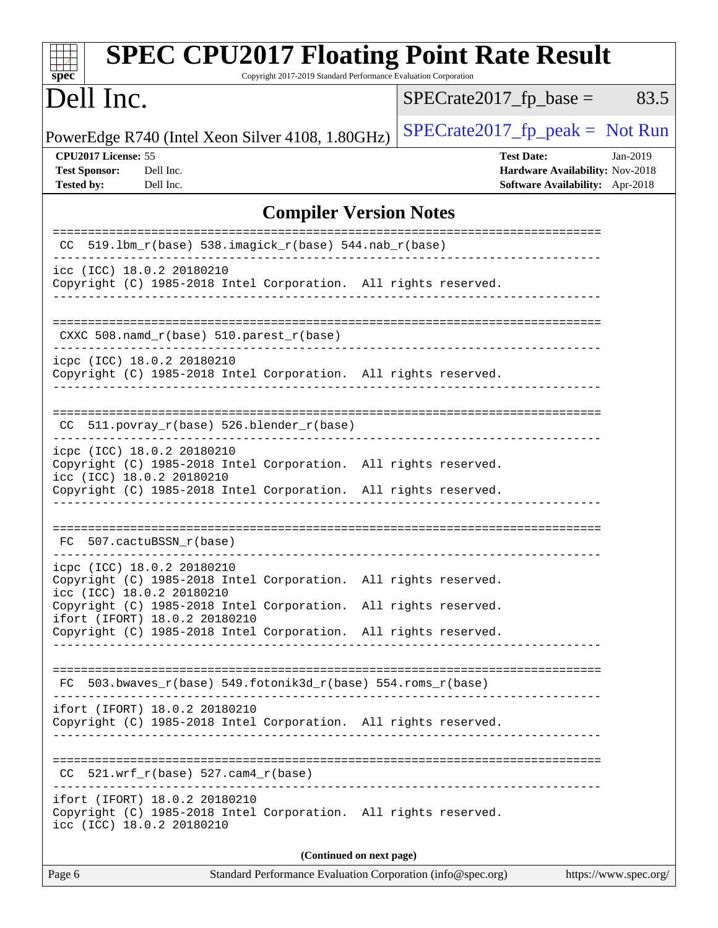| <b>SPEC CPU2017 Floating Point Rate Result</b><br>Copyright 2017-2019 Standard Performance Evaluation Corporation<br>spec <sup>®</sup>                                                        |                                                                                                       |
|-----------------------------------------------------------------------------------------------------------------------------------------------------------------------------------------------|-------------------------------------------------------------------------------------------------------|
| Dell Inc.                                                                                                                                                                                     | $SPECrate2017fr base =$<br>83.5                                                                       |
| PowerEdge R740 (Intel Xeon Silver 4108, 1.80GHz)                                                                                                                                              | $SPECrate2017_fp\_peak = Not Run$                                                                     |
| CPU2017 License: 55<br><b>Test Sponsor:</b><br>Dell Inc.<br><b>Tested by:</b><br>Dell Inc.                                                                                                    | <b>Test Date:</b><br>$Jan-2019$<br>Hardware Availability: Nov-2018<br>Software Availability: Apr-2018 |
| <b>Compiler Version Notes</b>                                                                                                                                                                 |                                                                                                       |
| 519.1bm_r(base) 538.imagick_r(base) 544.nab_r(base)<br>CC.                                                                                                                                    |                                                                                                       |
| icc (ICC) 18.0.2 20180210<br>Copyright (C) 1985-2018 Intel Corporation. All rights reserved.                                                                                                  |                                                                                                       |
| CXXC $508.namd_r(base) 510.parest_r(base)$                                                                                                                                                    |                                                                                                       |
| icpc (ICC) 18.0.2 20180210<br>Copyright (C) 1985-2018 Intel Corporation. All rights reserved.                                                                                                 |                                                                                                       |
| 511.povray_r(base) 526.blender_r(base)<br>CC.                                                                                                                                                 |                                                                                                       |
| icpc (ICC) 18.0.2 20180210<br>Copyright (C) 1985-2018 Intel Corporation. All rights reserved.<br>icc (ICC) 18.0.2 20180210<br>Copyright (C) 1985-2018 Intel Corporation. All rights reserved. |                                                                                                       |
|                                                                                                                                                                                               |                                                                                                       |
| 507.cactuBSSN r(base)<br>FC.                                                                                                                                                                  |                                                                                                       |
| icpc (ICC) 18.0.2 20180210<br>Copyright (C) 1985-2018 Intel Corporation. All rights reserved.<br>icc (ICC) 18.0.2 20180210                                                                    |                                                                                                       |
| Copyright (C) 1985-2018 Intel Corporation. All rights reserved.<br>ifort (IFORT) 18.0.2 20180210<br>Copyright (C) 1985-2018 Intel Corporation. All rights reserved.                           |                                                                                                       |
|                                                                                                                                                                                               |                                                                                                       |
| FC 503.bwaves_r(base) 549.fotonik3d_r(base) 554.roms_r(base)                                                                                                                                  |                                                                                                       |
| ifort (IFORT) 18.0.2 20180210<br>Copyright (C) 1985-2018 Intel Corporation. All rights reserved.                                                                                              |                                                                                                       |
| $CC$ 521.wrf_r(base) 527.cam4_r(base)                                                                                                                                                         |                                                                                                       |
| ifort (IFORT) 18.0.2 20180210<br>Copyright (C) 1985-2018 Intel Corporation. All rights reserved.<br>icc (ICC) 18.0.2 20180210                                                                 |                                                                                                       |
| (Continued on next page)                                                                                                                                                                      |                                                                                                       |
| Standard Performance Evaluation Corporation (info@spec.org)<br>Page 6                                                                                                                         | https://www.spec.org/                                                                                 |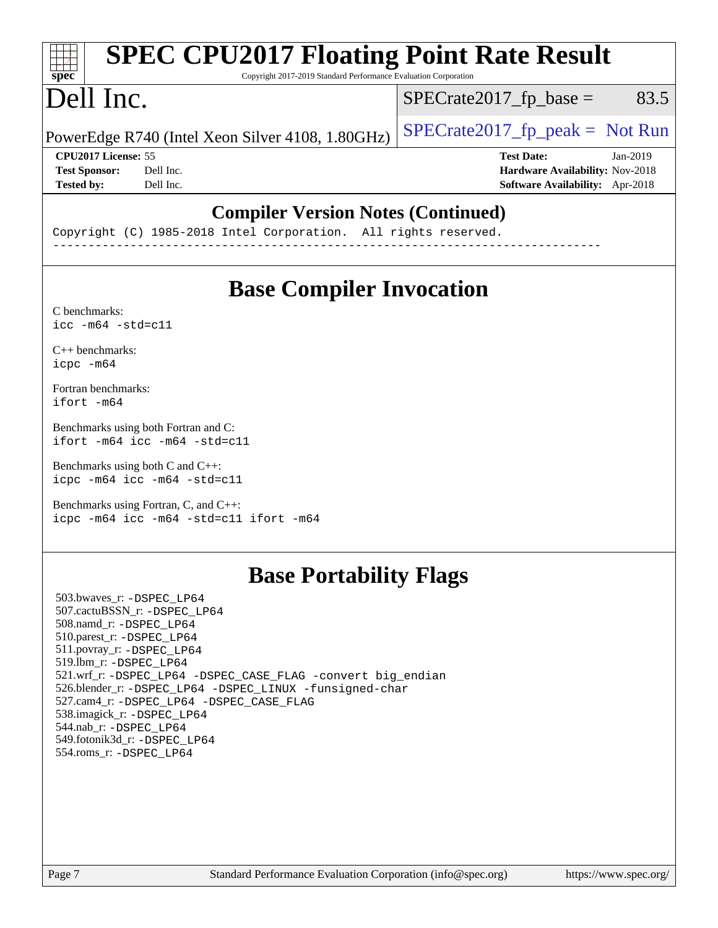#### **[SPEC CPU2017 Floating Point Rate Result](http://www.spec.org/auto/cpu2017/Docs/result-fields.html#SPECCPU2017FloatingPointRateResult)** TH 7 **[spec](http://www.spec.org/)** Copyright 2017-2019 Standard Performance Evaluation Corporation Dell Inc.  $SPECTate2017<sub>fp</sub> base = 83.5$ PowerEdge R740 (Intel Xeon Silver 4108, 1.80GHz)  $\left|$  [SPECrate2017\\_fp\\_peak =](http://www.spec.org/auto/cpu2017/Docs/result-fields.html#SPECrate2017fppeak) Not Run **[CPU2017 License:](http://www.spec.org/auto/cpu2017/Docs/result-fields.html#CPU2017License)** 55 **[Test Date:](http://www.spec.org/auto/cpu2017/Docs/result-fields.html#TestDate)** Jan-2019 **[Test Sponsor:](http://www.spec.org/auto/cpu2017/Docs/result-fields.html#TestSponsor)** Dell Inc. **[Hardware Availability:](http://www.spec.org/auto/cpu2017/Docs/result-fields.html#HardwareAvailability)** Nov-2018 **[Tested by:](http://www.spec.org/auto/cpu2017/Docs/result-fields.html#Testedby)** Dell Inc. **[Software Availability:](http://www.spec.org/auto/cpu2017/Docs/result-fields.html#SoftwareAvailability)** Apr-2018

### **[Compiler Version Notes \(Continued\)](http://www.spec.org/auto/cpu2017/Docs/result-fields.html#CompilerVersionNotes)**

Copyright (C) 1985-2018 Intel Corporation. All rights reserved. ------------------------------------------------------------------------------

# **[Base Compiler Invocation](http://www.spec.org/auto/cpu2017/Docs/result-fields.html#BaseCompilerInvocation)**

[C benchmarks](http://www.spec.org/auto/cpu2017/Docs/result-fields.html#Cbenchmarks):  $\text{icc}$  -m64 -std=c11

[C++ benchmarks:](http://www.spec.org/auto/cpu2017/Docs/result-fields.html#CXXbenchmarks) [icpc -m64](http://www.spec.org/cpu2017/results/res2019q1/cpu2017-20190107-10523.flags.html#user_CXXbase_intel_icpc_64bit_4ecb2543ae3f1412ef961e0650ca070fec7b7afdcd6ed48761b84423119d1bf6bdf5cad15b44d48e7256388bc77273b966e5eb805aefd121eb22e9299b2ec9d9)

[Fortran benchmarks](http://www.spec.org/auto/cpu2017/Docs/result-fields.html#Fortranbenchmarks): [ifort -m64](http://www.spec.org/cpu2017/results/res2019q1/cpu2017-20190107-10523.flags.html#user_FCbase_intel_ifort_64bit_24f2bb282fbaeffd6157abe4f878425411749daecae9a33200eee2bee2fe76f3b89351d69a8130dd5949958ce389cf37ff59a95e7a40d588e8d3a57e0c3fd751)

[Benchmarks using both Fortran and C](http://www.spec.org/auto/cpu2017/Docs/result-fields.html#BenchmarksusingbothFortranandC): [ifort -m64](http://www.spec.org/cpu2017/results/res2019q1/cpu2017-20190107-10523.flags.html#user_CC_FCbase_intel_ifort_64bit_24f2bb282fbaeffd6157abe4f878425411749daecae9a33200eee2bee2fe76f3b89351d69a8130dd5949958ce389cf37ff59a95e7a40d588e8d3a57e0c3fd751) [icc -m64 -std=c11](http://www.spec.org/cpu2017/results/res2019q1/cpu2017-20190107-10523.flags.html#user_CC_FCbase_intel_icc_64bit_c11_33ee0cdaae7deeeab2a9725423ba97205ce30f63b9926c2519791662299b76a0318f32ddfffdc46587804de3178b4f9328c46fa7c2b0cd779d7a61945c91cd35)

[Benchmarks using both C and C++](http://www.spec.org/auto/cpu2017/Docs/result-fields.html#BenchmarksusingbothCandCXX): [icpc -m64](http://www.spec.org/cpu2017/results/res2019q1/cpu2017-20190107-10523.flags.html#user_CC_CXXbase_intel_icpc_64bit_4ecb2543ae3f1412ef961e0650ca070fec7b7afdcd6ed48761b84423119d1bf6bdf5cad15b44d48e7256388bc77273b966e5eb805aefd121eb22e9299b2ec9d9) [icc -m64 -std=c11](http://www.spec.org/cpu2017/results/res2019q1/cpu2017-20190107-10523.flags.html#user_CC_CXXbase_intel_icc_64bit_c11_33ee0cdaae7deeeab2a9725423ba97205ce30f63b9926c2519791662299b76a0318f32ddfffdc46587804de3178b4f9328c46fa7c2b0cd779d7a61945c91cd35)

[Benchmarks using Fortran, C, and C++:](http://www.spec.org/auto/cpu2017/Docs/result-fields.html#BenchmarksusingFortranCandCXX) [icpc -m64](http://www.spec.org/cpu2017/results/res2019q1/cpu2017-20190107-10523.flags.html#user_CC_CXX_FCbase_intel_icpc_64bit_4ecb2543ae3f1412ef961e0650ca070fec7b7afdcd6ed48761b84423119d1bf6bdf5cad15b44d48e7256388bc77273b966e5eb805aefd121eb22e9299b2ec9d9) [icc -m64 -std=c11](http://www.spec.org/cpu2017/results/res2019q1/cpu2017-20190107-10523.flags.html#user_CC_CXX_FCbase_intel_icc_64bit_c11_33ee0cdaae7deeeab2a9725423ba97205ce30f63b9926c2519791662299b76a0318f32ddfffdc46587804de3178b4f9328c46fa7c2b0cd779d7a61945c91cd35) [ifort -m64](http://www.spec.org/cpu2017/results/res2019q1/cpu2017-20190107-10523.flags.html#user_CC_CXX_FCbase_intel_ifort_64bit_24f2bb282fbaeffd6157abe4f878425411749daecae9a33200eee2bee2fe76f3b89351d69a8130dd5949958ce389cf37ff59a95e7a40d588e8d3a57e0c3fd751)

# **[Base Portability Flags](http://www.spec.org/auto/cpu2017/Docs/result-fields.html#BasePortabilityFlags)**

 503.bwaves\_r: [-DSPEC\\_LP64](http://www.spec.org/cpu2017/results/res2019q1/cpu2017-20190107-10523.flags.html#suite_basePORTABILITY503_bwaves_r_DSPEC_LP64) 507.cactuBSSN\_r: [-DSPEC\\_LP64](http://www.spec.org/cpu2017/results/res2019q1/cpu2017-20190107-10523.flags.html#suite_basePORTABILITY507_cactuBSSN_r_DSPEC_LP64) 508.namd\_r: [-DSPEC\\_LP64](http://www.spec.org/cpu2017/results/res2019q1/cpu2017-20190107-10523.flags.html#suite_basePORTABILITY508_namd_r_DSPEC_LP64) 510.parest\_r: [-DSPEC\\_LP64](http://www.spec.org/cpu2017/results/res2019q1/cpu2017-20190107-10523.flags.html#suite_basePORTABILITY510_parest_r_DSPEC_LP64) 511.povray\_r: [-DSPEC\\_LP64](http://www.spec.org/cpu2017/results/res2019q1/cpu2017-20190107-10523.flags.html#suite_basePORTABILITY511_povray_r_DSPEC_LP64) 519.lbm\_r: [-DSPEC\\_LP64](http://www.spec.org/cpu2017/results/res2019q1/cpu2017-20190107-10523.flags.html#suite_basePORTABILITY519_lbm_r_DSPEC_LP64) 521.wrf\_r: [-DSPEC\\_LP64](http://www.spec.org/cpu2017/results/res2019q1/cpu2017-20190107-10523.flags.html#suite_basePORTABILITY521_wrf_r_DSPEC_LP64) [-DSPEC\\_CASE\\_FLAG](http://www.spec.org/cpu2017/results/res2019q1/cpu2017-20190107-10523.flags.html#b521.wrf_r_baseCPORTABILITY_DSPEC_CASE_FLAG) [-convert big\\_endian](http://www.spec.org/cpu2017/results/res2019q1/cpu2017-20190107-10523.flags.html#user_baseFPORTABILITY521_wrf_r_convert_big_endian_c3194028bc08c63ac5d04de18c48ce6d347e4e562e8892b8bdbdc0214820426deb8554edfa529a3fb25a586e65a3d812c835984020483e7e73212c4d31a38223) 526.blender\_r: [-DSPEC\\_LP64](http://www.spec.org/cpu2017/results/res2019q1/cpu2017-20190107-10523.flags.html#suite_basePORTABILITY526_blender_r_DSPEC_LP64) [-DSPEC\\_LINUX](http://www.spec.org/cpu2017/results/res2019q1/cpu2017-20190107-10523.flags.html#b526.blender_r_baseCPORTABILITY_DSPEC_LINUX) [-funsigned-char](http://www.spec.org/cpu2017/results/res2019q1/cpu2017-20190107-10523.flags.html#user_baseCPORTABILITY526_blender_r_force_uchar_40c60f00ab013830e2dd6774aeded3ff59883ba5a1fc5fc14077f794d777847726e2a5858cbc7672e36e1b067e7e5c1d9a74f7176df07886a243d7cc18edfe67) 527.cam4\_r: [-DSPEC\\_LP64](http://www.spec.org/cpu2017/results/res2019q1/cpu2017-20190107-10523.flags.html#suite_basePORTABILITY527_cam4_r_DSPEC_LP64) [-DSPEC\\_CASE\\_FLAG](http://www.spec.org/cpu2017/results/res2019q1/cpu2017-20190107-10523.flags.html#b527.cam4_r_baseCPORTABILITY_DSPEC_CASE_FLAG) 538.imagick\_r: [-DSPEC\\_LP64](http://www.spec.org/cpu2017/results/res2019q1/cpu2017-20190107-10523.flags.html#suite_basePORTABILITY538_imagick_r_DSPEC_LP64) 544.nab\_r: [-DSPEC\\_LP64](http://www.spec.org/cpu2017/results/res2019q1/cpu2017-20190107-10523.flags.html#suite_basePORTABILITY544_nab_r_DSPEC_LP64) 549.fotonik3d\_r: [-DSPEC\\_LP64](http://www.spec.org/cpu2017/results/res2019q1/cpu2017-20190107-10523.flags.html#suite_basePORTABILITY549_fotonik3d_r_DSPEC_LP64) 554.roms\_r: [-DSPEC\\_LP64](http://www.spec.org/cpu2017/results/res2019q1/cpu2017-20190107-10523.flags.html#suite_basePORTABILITY554_roms_r_DSPEC_LP64)